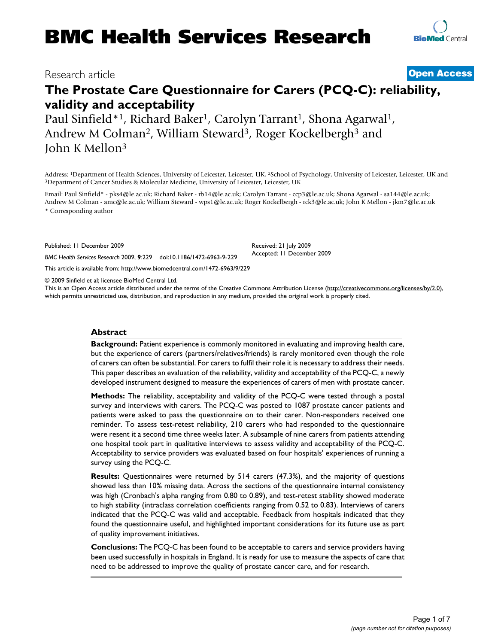# **The Prostate Care Questionnaire for Carers (PCQ-C): reliability, validity and acceptability**

Paul Sinfield\*<sup>1</sup>, Richard Baker<sup>1</sup>, Carolyn Tarrant<sup>1</sup>, Shona Agarwal<sup>1</sup>, Andrew M Colman<sup>2</sup>, William Steward<sup>3</sup>, Roger Kockelbergh<sup>3</sup> and John K Mellon3

Address: <sup>1</sup>Department of Health Sciences, University of Leicester, Leicester, UK, <sup>2</sup>School of Psychology, University of Leicester, Leicester, UK and <sup>3</sup>Department of Cancer Studies & Molecular Medicine, University of Lei

Email: Paul Sinfield\* - pks4@le.ac.uk; Richard Baker - rb14@le.ac.uk; Carolyn Tarrant - ccp3@le.ac.uk; Shona Agarwal - sa144@le.ac.uk; Andrew M Colman - amc@le.ac.uk; William Steward - wps1@le.ac.uk; Roger Kockelbergh - rck3@le.ac.uk; John K Mellon - jkm7@le.ac.uk \* Corresponding author

Published: 11 December 2009

*BMC Health Services Research* 2009, **9**:229 doi:10.1186/1472-6963-9-229

[This article is available from: http://www.biomedcentral.com/1472-6963/9/229](http://www.biomedcentral.com/1472-6963/9/229)

© 2009 Sinfield et al; licensee BioMed Central Ltd.

This is an Open Access article distributed under the terms of the Creative Commons Attribution License [\(http://creativecommons.org/licenses/by/2.0\)](http://creativecommons.org/licenses/by/2.0), which permits unrestricted use, distribution, and reproduction in any medium, provided the original work is properly cited.

Received: 21 July 2009 Accepted: 11 December 2009

#### **Abstract**

**Background:** Patient experience is commonly monitored in evaluating and improving health care, but the experience of carers (partners/relatives/friends) is rarely monitored even though the role of carers can often be substantial. For carers to fulfil their role it is necessary to address their needs. This paper describes an evaluation of the reliability, validity and acceptability of the PCQ-C, a newly developed instrument designed to measure the experiences of carers of men with prostate cancer.

**Methods:** The reliability, acceptability and validity of the PCQ-C were tested through a postal survey and interviews with carers. The PCQ-C was posted to 1087 prostate cancer patients and patients were asked to pass the questionnaire on to their carer. Non-responders received one reminder. To assess test-retest reliability, 210 carers who had responded to the questionnaire were resent it a second time three weeks later. A subsample of nine carers from patients attending one hospital took part in qualitative interviews to assess validity and acceptability of the PCQ-C. Acceptability to service providers was evaluated based on four hospitals' experiences of running a survey using the PCQ-C.

**Results:** Questionnaires were returned by 514 carers (47.3%), and the majority of questions showed less than 10% missing data. Across the sections of the questionnaire internal consistency was high (Cronbach's alpha ranging from 0.80 to 0.89), and test-retest stability showed moderate to high stability (intraclass correlation coefficients ranging from 0.52 to 0.83). Interviews of carers indicated that the PCQ-C was valid and acceptable. Feedback from hospitals indicated that they found the questionnaire useful, and highlighted important considerations for its future use as part of quality improvement initiatives.

**Conclusions:** The PCQ-C has been found to be acceptable to carers and service providers having been used successfully in hospitals in England. It is ready for use to measure the aspects of care that need to be addressed to improve the quality of prostate cancer care, and for research.

Research article **[Open Access](http://www.biomedcentral.com/info/about/charter/)**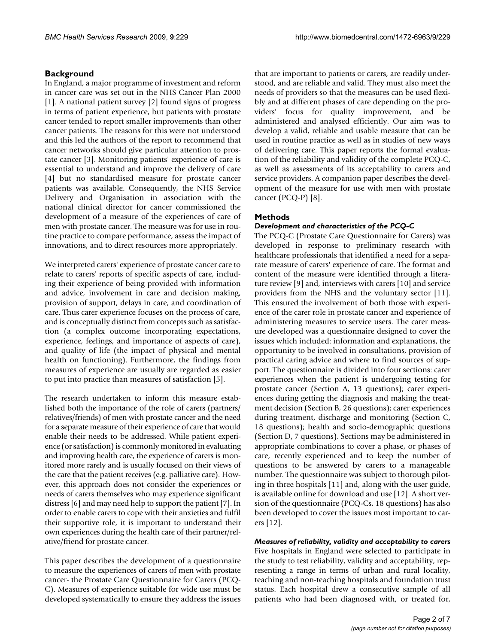# **Background**

In England, a major programme of investment and reform in cancer care was set out in the NHS Cancer Plan 2000 [[1\]](#page-6-0). A national patient survey [[2](#page-6-1)] found signs of progress in terms of patient experience, but patients with prostate cancer tended to report smaller improvements than other cancer patients. The reasons for this were not understood and this led the authors of the report to recommend that cancer networks should give particular attention to prostate cancer [[3\]](#page-6-2). Monitoring patients' experience of care is essential to understand and improve the delivery of care [[4\]](#page-6-3) but no standardised measure for prostate cancer patients was available. Consequently, the NHS Service Delivery and Organisation in association with the national clinical director for cancer commissioned the development of a measure of the experiences of care of men with prostate cancer. The measure was for use in routine practice to compare performance, assess the impact of innovations, and to direct resources more appropriately.

We interpreted carers' experience of prostate cancer care to relate to carers' reports of specific aspects of care, including their experience of being provided with information and advice, involvement in care and decision making, provision of support, delays in care, and coordination of care. Thus carer experience focuses on the process of care, and is conceptually distinct from concepts such as satisfaction (a complex outcome incorporating expectations, experience, feelings, and importance of aspects of care), and quality of life (the impact of physical and mental health on functioning). Furthermore, the findings from measures of experience are usually are regarded as easier to put into practice than measures of satisfaction [[5](#page-6-4)].

The research undertaken to inform this measure established both the importance of the role of carers (partners/ relatives/friends) of men with prostate cancer and the need for a separate measure of their experience of care that would enable their needs to be addressed. While patient experience (or satisfaction) is commonly monitored in evaluating and improving health care, the experience of carers is monitored more rarely and is usually focused on their views of the care that the patient receives (e.g. palliative care). However, this approach does not consider the experiences or needs of carers themselves who may experience significant distress [\[6\]](#page-6-5) and may need help to support the patient [\[7\]](#page-6-6). In order to enable carers to cope with their anxieties and fulfil their supportive role, it is important to understand their own experiences during the health care of their partner/relative/friend for prostate cancer.

This paper describes the development of a questionnaire to measure the experiences of carers of men with prostate cancer- the Prostate Care Questionnaire for Carers (PCQ-C). Measures of experience suitable for wide use must be developed systematically to ensure they address the issues that are important to patients or carers, are readily understood, and are reliable and valid. They must also meet the needs of providers so that the measures can be used flexibly and at different phases of care depending on the providers' focus for quality improvement, and be administered and analysed efficiently. Our aim was to develop a valid, reliable and usable measure that can be used in routine practice as well as in studies of new ways of delivering care. This paper reports the formal evaluation of the reliability and validity of the complete PCQ-C, as well as assessments of its acceptability to carers and service providers. A companion paper describes the development of the measure for use with men with prostate cancer (PCQ-P) [[8](#page-6-7)].

# **Methods**

# *Development and characteristics of the PCQ-C*

The PCQ-C (Prostate Care Questionnaire for Carers) was developed in response to preliminary research with healthcare professionals that identified a need for a separate measure of carers' experience of care. The format and content of the measure were identified through a literature review [[9\]](#page-6-8) and, interviews with carers [[10](#page-6-9)] and service providers from the NHS and the voluntary sector [\[11](#page-6-10)]. This ensured the involvement of both those with experience of the carer role in prostate cancer and experience of administering measures to service users. The carer measure developed was a questionnaire designed to cover the issues which included: information and explanations, the opportunity to be involved in consultations, provision of practical caring advice and where to find sources of support. The questionnaire is divided into four sections: carer experiences when the patient is undergoing testing for prostate cancer (Section A, 13 questions); carer experiences during getting the diagnosis and making the treatment decision (Section B, 26 questions); carer experiences during treatment, discharge and monitoring (Section C, 18 questions); health and socio-demographic questions (Section D, 7 questions). Sections may be administered in appropriate combinations to cover a phase, or phases of care, recently experienced and to keep the number of questions to be answered by carers to a manageable number. The questionnaire was subject to thorough piloting in three hospitals [[11](#page-6-10)] and, along with the user guide, is available online for download and use [[12](#page-6-11)]. A short version of the questionnaire (PCQ-Cs, 18 questions) has also been developed to cover the issues most important to carers [[12\]](#page-6-11).

*Measures of reliability, validity and acceptability to carers* Five hospitals in England were selected to participate in the study to test reliability, validity and acceptability, representing a range in terms of urban and rural locality, teaching and non-teaching hospitals and foundation trust status. Each hospital drew a consecutive sample of all patients who had been diagnosed with, or treated for,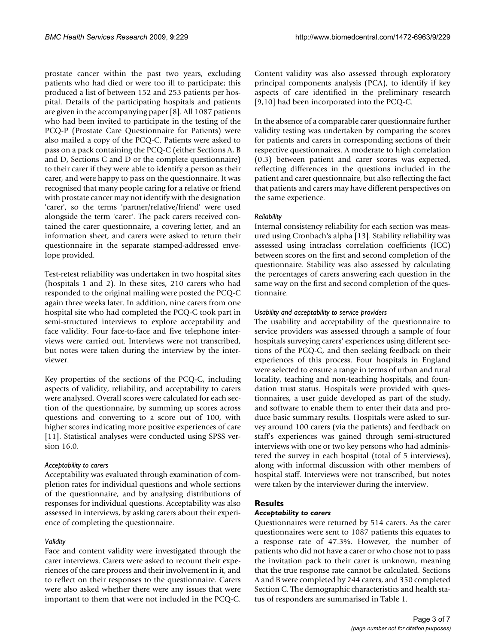prostate cancer within the past two years, excluding patients who had died or were too ill to participate; this produced a list of between 152 and 253 patients per hospital. Details of the participating hospitals and patients are given in the accompanying paper [\[8\]](#page-6-7). All 1087 patients who had been invited to participate in the testing of the PCQ-P (Prostate Care Questionnaire for Patients) were also mailed a copy of the PCQ-C. Patients were asked to pass on a pack containing the PCQ-C (either Sections A, B and D, Sections C and D or the complete questionnaire) to their carer if they were able to identify a person as their carer, and were happy to pass on the questionnaire. It was recognised that many people caring for a relative or friend with prostate cancer may not identify with the designation 'carer', so the terms 'partner/relative/friend' were used alongside the term 'carer'. The pack carers received contained the carer questionnaire, a covering letter, and an information sheet, and carers were asked to return their questionnaire in the separate stamped-addressed envelope provided.

Test-retest reliability was undertaken in two hospital sites (hospitals 1 and 2). In these sites, 210 carers who had responded to the original mailing were posted the PCQ-C again three weeks later. In addition, nine carers from one hospital site who had completed the PCQ-C took part in semi-structured interviews to explore acceptability and face validity. Four face-to-face and five telephone interviews were carried out. Interviews were not transcribed, but notes were taken during the interview by the interviewer.

Key properties of the sections of the PCQ-C, including aspects of validity, reliability, and acceptability to carers were analysed. Overall scores were calculated for each section of the questionnaire, by summing up scores across questions and converting to a score out of 100, with higher scores indicating more positive experiences of care [[11](#page-6-10)]. Statistical analyses were conducted using SPSS version 16.0.

# *Acceptability to carers*

Acceptability was evaluated through examination of completion rates for individual questions and whole sections of the questionnaire, and by analysing distributions of responses for individual questions. Acceptability was also assessed in interviews, by asking carers about their experience of completing the questionnaire.

# *Validity*

Face and content validity were investigated through the carer interviews. Carers were asked to recount their experiences of the care process and their involvement in it, and to reflect on their responses to the questionnaire. Carers were also asked whether there were any issues that were important to them that were not included in the PCQ-C. Content validity was also assessed through exploratory principal components analysis (PCA), to identify if key aspects of care identified in the preliminary research [[9](#page-6-8)[,10](#page-6-9)] had been incorporated into the PCQ-C.

In the absence of a comparable carer questionnaire further validity testing was undertaken by comparing the scores for patients and carers in corresponding sections of their respective questionnaires. A moderate to high correlation (0.3) between patient and carer scores was expected, reflecting differences in the questions included in the patient and carer questionnaire, but also reflecting the fact that patients and carers may have different perspectives on the same experience.

# *Reliability*

Internal consistency reliability for each section was measured using Cronbach's alpha [\[13](#page-6-12)]. Stability reliability was assessed using intraclass correlation coefficients (ICC) between scores on the first and second completion of the questionnaire. Stability was also assessed by calculating the percentages of carers answering each question in the same way on the first and second completion of the questionnaire.

# *Usability and acceptability to service providers*

The usability and acceptability of the questionnaire to service providers was assessed through a sample of four hospitals surveying carers' experiences using different sections of the PCQ-C, and then seeking feedback on their experiences of this process. Four hospitals in England were selected to ensure a range in terms of urban and rural locality, teaching and non-teaching hospitals, and foundation trust status. Hospitals were provided with questionnaires, a user guide developed as part of the study, and software to enable them to enter their data and produce basic summary results. Hospitals were asked to survey around 100 carers (via the patients) and feedback on staff's experiences was gained through semi-structured interviews with one or two key persons who had administered the survey in each hospital (total of 5 interviews), along with informal discussion with other members of hospital staff. Interviews were not transcribed, but notes were taken by the interviewer during the interview.

# **Results**

# *Acceptability to carers*

Questionnaires were returned by 514 carers. As the carer questionnaires were sent to 1087 patients this equates to a response rate of 47.3%. However, the number of patients who did not have a carer or who chose not to pass the invitation pack to their carer is unknown, meaning that the true response rate cannot be calculated. Sections A and B were completed by 244 carers, and 350 completed Section C. The demographic characteristics and health status of responders are summarised in Table [1.](#page-3-0)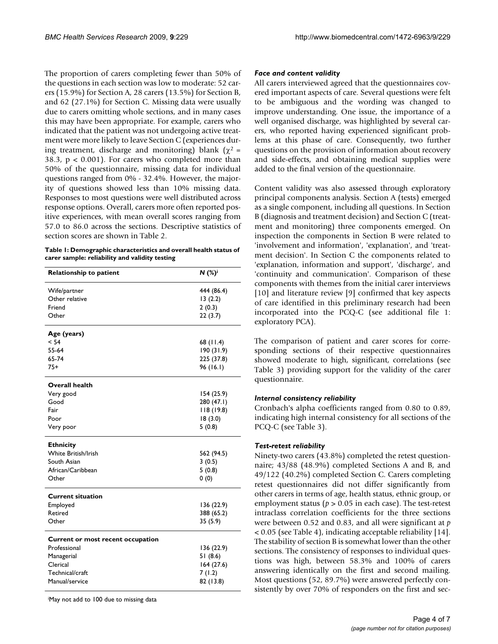The proportion of carers completing fewer than 50% of the questions in each section was low to moderate: 52 carers (15.9%) for Section A, 28 carers (13.5%) for Section B, and 62 (27.1%) for Section C. Missing data were usually due to carers omitting whole sections, and in many cases this may have been appropriate. For example, carers who indicated that the patient was not undergoing active treatment were more likely to leave Section C (experiences during treatment, discharge and monitoring) blank ( $\chi^2$  = 38.3,  $p < 0.001$ ). For carers who completed more than 50% of the questionnaire, missing data for individual questions ranged from 0% - 32.4%. However, the majority of questions showed less than 10% missing data. Responses to most questions were well distributed across response options. Overall, carers more often reported positive experiences, with mean overall scores ranging from 57.0 to 86.0 across the sections. Descriptive statistics of section scores are shown in Table [2.](#page-4-0)

<span id="page-3-0"></span>**Table 1: Demographic characteristics and overall health status of carer sample: reliability and validity testing**

| <b>Relationship to patient</b>    | $N$ $(\%)$ |
|-----------------------------------|------------|
| Wife/partner                      | 444 (86.4) |
| Other relative                    | 13(2.2)    |
| Friend                            | 2(0.3)     |
| Other                             | 22(3.7)    |
| Age (years)                       |            |
| < 54                              | 68 (11.4)  |
| $55 - 64$                         | 190(31.9)  |
| 65-74                             | 225 (37.8) |
| $75+$                             | 96 (16.1)  |
| Overall health                    |            |
| Very good                         | 154 (25.9) |
| Good                              | 280 (47.1) |
| Fair                              | 118 (19.8) |
| Poor                              | 18(3.0)    |
| Very poor                         | 5(0.8)     |
| <b>Ethnicity</b>                  |            |
| White British/Irish               | 562 (94.5) |
| South Asian                       | 3(0.5)     |
| African/Caribbean                 | 5(0.8)     |
| Other                             | 0(0)       |
| <b>Current situation</b>          |            |
| Employed                          | 136 (22.9) |
| Retired                           | 388 (65.2) |
| Other                             | 35 (5.9)   |
| Current or most recent occupation |            |
| Professional                      | 136 (22.9) |
| Managerial                        | 51 (8.6)   |
| Clerical                          | 164(27.6)  |
| Technical/craft                   | 7 (1.2)    |
| Manual/service                    | 82 (13.8)  |

i May not add to 100 due to missing data

#### *Face and content validity*

All carers interviewed agreed that the questionnaires covered important aspects of care. Several questions were felt to be ambiguous and the wording was changed to improve understanding. One issue, the importance of a well organised discharge, was highlighted by several carers, who reported having experienced significant problems at this phase of care. Consequently, two further questions on the provision of information about recovery and side-effects, and obtaining medical supplies were added to the final version of the questionnaire.

Content validity was also assessed through exploratory principal components analysis. Section A (tests) emerged as a single component, including all questions. In Section B (diagnosis and treatment decision) and Section C (treatment and monitoring) three components emerged. On inspection the components in Section B were related to 'involvement and information', 'explanation', and 'treatment decision'. In Section C the components related to 'explanation, information and support', 'discharge', and 'continuity and communication'. Comparison of these components with themes from the initial carer interviews [[10](#page-6-9)] and literature review [\[9\]](#page-6-8) confirmed that key aspects of care identified in this preliminary research had been incorporated into the PCQ-C (see additional file [1:](#page-6-13) exploratory PCA).

The comparison of patient and carer scores for corresponding sections of their respective questionnaires showed moderate to high, significant, correlations (see Table [3](#page-4-1)) providing support for the validity of the carer questionnaire.

#### *Internal consistency reliability*

Cronbach's alpha coefficients ranged from 0.80 to 0.89, indicating high internal consistency for all sections of the PCQ-C (see Table [3\)](#page-4-1).

#### *Test-retest reliability*

Ninety-two carers (43.8%) completed the retest questionnaire; 43/88 (48.9%) completed Sections A and B, and 49/122 (40.2%) completed Section C. Carers completing retest questionnaires did not differ significantly from other carers in terms of age, health status, ethnic group, or employment status ( $p > 0.05$  in each case). The test-retest intraclass correlation coefficients for the three sections were between 0.52 and 0.83, and all were significant at *p* < 0.05 (see Table [4\)](#page-5-0), indicating acceptable reliability [\[14](#page-6-14)]. The stability of section B is somewhat lower than the other sections. The consistency of responses to individual questions was high, between 58.3% and 100% of carers answering identically on the first and second mailing. Most questions (52, 89.7%) were answered perfectly consistently by over 70% of responders on the first and sec-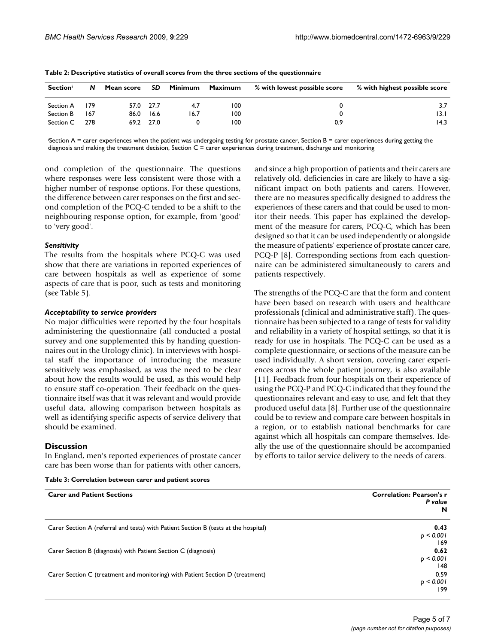| <b>Section</b> | N   | Mean score | <b>SD</b> | Minimum | Maximum | % with lowest possible score | % with highest possible score |
|----------------|-----|------------|-----------|---------|---------|------------------------------|-------------------------------|
| Section A      | 179 |            | 57.0 27.7 | 4.7     | 100     |                              |                               |
| Section B      | 167 | 86.0       | 16.6      | 16.7    | 100     |                              | 13.1                          |
| Section C      | 278 |            | 69.2 27.0 |         | 100     | 0.9                          | 14.3                          |

<span id="page-4-0"></span>

| Table 2: Descriptive statistics of overall scores from the three sections of the questionnaire |  |  |  |  |  |  |
|------------------------------------------------------------------------------------------------|--|--|--|--|--|--|
|------------------------------------------------------------------------------------------------|--|--|--|--|--|--|

i Section A = carer experiences when the patient was undergoing testing for prostate cancer, Section B = carer experiences during getting the diagnosis and making the treatment decision, Section C = carer experiences during treatment, discharge and monitoring

ond completion of the questionnaire. The questions where responses were less consistent were those with a higher number of response options. For these questions, the difference between carer responses on the first and second completion of the PCQ-C tended to be a shift to the neighbouring response option, for example, from 'good' to 'very good'.

#### *Sensitivity*

The results from the hospitals where PCQ-C was used show that there are variations in reported experiences of care between hospitals as well as experience of some aspects of care that is poor, such as tests and monitoring (see Table [5](#page-5-1)).

#### *Acceptability to service providers*

No major difficulties were reported by the four hospitals administering the questionnaire (all conducted a postal survey and one supplemented this by handing questionnaires out in the Urology clinic). In interviews with hospital staff the importance of introducing the measure sensitively was emphasised, as was the need to be clear about how the results would be used, as this would help to ensure staff co-operation. Their feedback on the questionnaire itself was that it was relevant and would provide useful data, allowing comparison between hospitals as well as identifying specific aspects of service delivery that should be examined.

#### **Discussion**

In England, men's reported experiences of prostate cancer care has been worse than for patients with other cancers,

and since a high proportion of patients and their carers are relatively old, deficiencies in care are likely to have a significant impact on both patients and carers. However, there are no measures specifically designed to address the experiences of these carers and that could be used to monitor their needs. This paper has explained the development of the measure for carers, PCQ-C, which has been designed so that it can be used independently or alongside the measure of patients' experience of prostate cancer care, PCQ-P [[8](#page-6-7)]. Corresponding sections from each questionnaire can be administered simultaneously to carers and patients respectively.

The strengths of the PCQ-C are that the form and content have been based on research with users and healthcare professionals (clinical and administrative staff). The questionnaire has been subjected to a range of tests for validity and reliability in a variety of hospital settings, so that it is ready for use in hospitals. The PCQ-C can be used as a complete questionnaire, or sections of the measure can be used individually. A short version, covering carer experiences across the whole patient journey, is also available [[11](#page-6-10)]. Feedback from four hospitals on their experience of using the PCQ-P and PCQ-C indicated that they found the questionnaires relevant and easy to use, and felt that they produced useful data [[8](#page-6-7)]. Further use of the questionnaire could be to review and compare care between hospitals in a region, or to establish national benchmarks for care against which all hospitals can compare themselves. Ideally the use of the questionnaire should be accompanied by efforts to tailor service delivery to the needs of carers.

<span id="page-4-1"></span>

| Table 3: Correlation between carer and patient scores |  |  |
|-------------------------------------------------------|--|--|
|-------------------------------------------------------|--|--|

| <b>Carer and Patient Sections</b>                                                   | <b>Correlation: Pearson's r</b><br>P value<br>N |
|-------------------------------------------------------------------------------------|-------------------------------------------------|
| Carer Section A (referral and tests) with Patient Section B (tests at the hospital) | 0.43<br>p < 0.001<br>169                        |
| Carer Section B (diagnosis) with Patient Section C (diagnosis)                      | 0.62<br>$b \le 0.001$<br>148                    |
| Carer Section C (treatment and monitoring) with Patient Section D (treatment)       | 0.59<br>p < 0.001<br>199                        |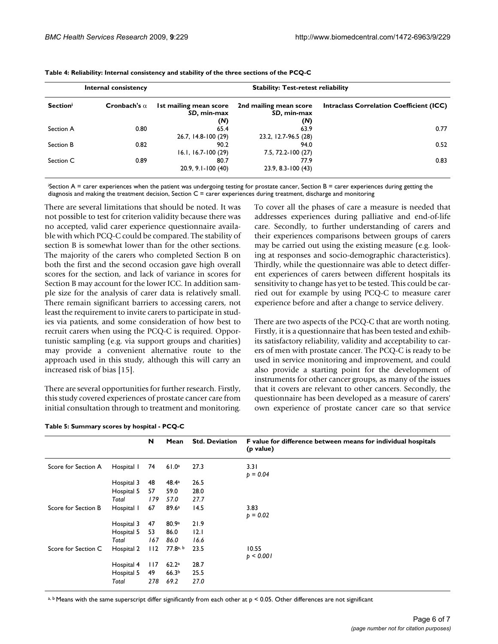|                | Internal consistency | <b>Stability: Test-retest reliability</b>    |                                              |                                                 |  |  |
|----------------|----------------------|----------------------------------------------|----------------------------------------------|-------------------------------------------------|--|--|
| <b>Section</b> | Cronbach's $\alpha$  | Ist mailing mean score<br>SD, min-max<br>(N) | 2nd mailing mean score<br>SD, min-max<br>(N) | <b>Intraclass Correlation Coefficient (ICC)</b> |  |  |
| Section A      | 0.80                 | 65.4<br>26.7, 14.8-100 (29)                  | 63.9<br>23.2, 12.7-96.5 (28)                 | 0.77                                            |  |  |
| Section B      | 0.82                 | 90.2<br>$16.1, 16.7 - 100(29)$               | 94.0<br>7.5, 72.2-100 (27)                   | 0.52                                            |  |  |
| Section C      | 0.89                 | 80.7<br>$20.9, 9.1 - 100(40)$                | 77.9<br>$23.9, 8.3 - 100 (43)$               | 0.83                                            |  |  |

<span id="page-5-0"></span>**Table 4: Reliability: Internal consistency and stability of the three sections of the PCQ-C**

i Section A = carer experiences when the patient was undergoing testing for prostate cancer, Section B = carer experiences during getting the diagnosis and making the treatment decision, Section  $C =$  carer experiences during treatment, discharge and monitoring

There are several limitations that should be noted. It was not possible to test for criterion validity because there was no accepted, valid carer experience questionnaire available with which PCQ-C could be compared. The stability of section B is somewhat lower than for the other sections. The majority of the carers who completed Section B on both the first and the second occasion gave high overall scores for the section, and lack of variance in scores for Section B may account for the lower ICC. In addition sample size for the analysis of carer data is relatively small. There remain significant barriers to accessing carers, not least the requirement to invite carers to participate in studies via patients, and some consideration of how best to recruit carers when using the PCQ-C is required. Opportunistic sampling (e.g. via support groups and charities) may provide a convenient alternative route to the approach used in this study, although this will carry an increased risk of bias [[15](#page-6-15)].

There are several opportunities for further research. Firstly, this study covered experiences of prostate cancer care from initial consultation through to treatment and monitoring.

<span id="page-5-1"></span>**Table 5: Summary scores by hospital - PCQ-C**

To cover all the phases of care a measure is needed that addresses experiences during palliative and end-of-life care. Secondly, to further understanding of carers and their experiences comparisons between groups of carers may be carried out using the existing measure (e.g. looking at responses and socio-demographic characteristics). Thirdly, while the questionnaire was able to detect different experiences of carers between different hospitals its sensitivity to change has yet to be tested. This could be carried out for example by using PCQ-C to measure carer experience before and after a change to service delivery.

There are two aspects of the PCQ-C that are worth noting. Firstly, it is a questionnaire that has been tested and exhibits satisfactory reliability, validity and acceptability to carers of men with prostate cancer. The PCQ-C is ready to be used in service monitoring and improvement, and could also provide a starting point for the development of instruments for other cancer groups, as many of the issues that it covers are relevant to other cancers. Secondly, the questionnaire has been developed as a measure of carers' own experience of prostate cancer care so that service

|                     |                                   | N                | Mean                                           | <b>Std. Deviation</b> | F value for difference between means for individual hospitals<br>(p value) |
|---------------------|-----------------------------------|------------------|------------------------------------------------|-----------------------|----------------------------------------------------------------------------|
| Score for Section A | Hospital I                        | 74               | 61.0 <sup>a</sup>                              | 27.3                  | 3.31<br>$p = 0.04$                                                         |
|                     | Hospital 3                        | 48               | 48.4 <sup>a</sup>                              | 26.5                  |                                                                            |
|                     | Hospital 5                        | 57               | 59.0                                           | 28.0                  |                                                                            |
|                     | Total                             | 179              | 57.0                                           | 27.7                  |                                                                            |
| Score for Section B | Hospital I                        | 67               | 89.6 <sup>a</sup>                              | 14.5                  | 3.83<br>$p = 0.02$                                                         |
|                     | Hospital 3                        | 47               | 80.9 <sup>a</sup>                              | 21.9                  |                                                                            |
|                     | Hospital 5                        | 53               | 86.0                                           | 2.1                   |                                                                            |
|                     | Total                             | 167              | 86.0                                           | 16.6                  |                                                                            |
| Score for Section C | Hospital 2                        | 112              | 77.8 <sup>a, b</sup>                           | 23.5                  | 10.55<br>p < 0.001                                                         |
|                     | Hospital 4<br>Hospital 5<br>Total | 117<br>49<br>278 | 62.2 <sup>a</sup><br>66.3 <sup>b</sup><br>69.2 | 28.7<br>25.5<br>27.0  |                                                                            |

a, b Means with the same superscript differ significantly from each other at p < 0.05. Other differences are not significant